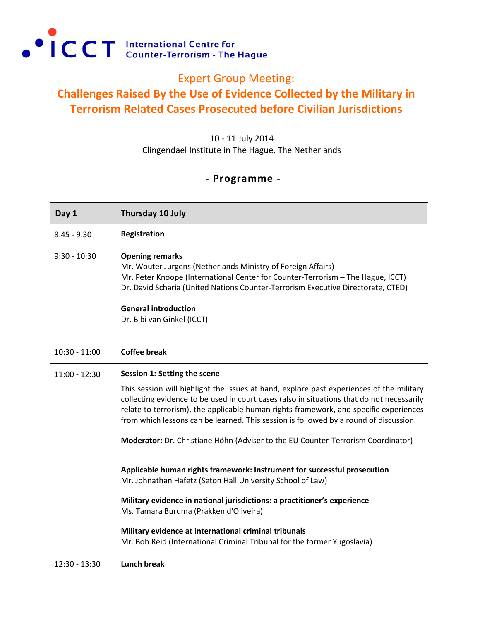

## Expert Group Meeting:

## **Challenges Raised By the Use of Evidence Collected by the Military in Terrorism Related Cases Prosecuted before Civilian Jurisdictions**

10 - 11 July 2014 Clingendael Institute in The Hague, The Netherlands

## **- Programme -**

| Day 1           | Thursday 10 July                                                                                                                                                                                                                                                                                                                                                                                                                                                                            |
|-----------------|---------------------------------------------------------------------------------------------------------------------------------------------------------------------------------------------------------------------------------------------------------------------------------------------------------------------------------------------------------------------------------------------------------------------------------------------------------------------------------------------|
| $8:45 - 9:30$   | Registration                                                                                                                                                                                                                                                                                                                                                                                                                                                                                |
| $9:30 - 10:30$  | <b>Opening remarks</b><br>Mr. Wouter Jurgens (Netherlands Ministry of Foreign Affairs)<br>Mr. Peter Knoope (International Center for Counter-Terrorism - The Hague, ICCT)<br>Dr. David Scharia (United Nations Counter-Terrorism Executive Directorate, CTED)<br><b>General introduction</b><br>Dr. Bibi van Ginkel (ICCT)                                                                                                                                                                  |
| $10:30 - 11:00$ | <b>Coffee break</b>                                                                                                                                                                                                                                                                                                                                                                                                                                                                         |
| $11:00 - 12:30$ | Session 1: Setting the scene<br>This session will highlight the issues at hand, explore past experiences of the military<br>collecting evidence to be used in court cases (also in situations that do not necessarily<br>relate to terrorism), the applicable human rights framework, and specific experiences<br>from which lessons can be learned. This session is followed by a round of discussion.<br>Moderator: Dr. Christiane Höhn (Adviser to the EU Counter-Terrorism Coordinator) |
|                 | Applicable human rights framework: Instrument for successful prosecution<br>Mr. Johnathan Hafetz (Seton Hall University School of Law)                                                                                                                                                                                                                                                                                                                                                      |
|                 | Military evidence in national jurisdictions: a practitioner's experience<br>Ms. Tamara Buruma (Prakken d'Oliveira)                                                                                                                                                                                                                                                                                                                                                                          |
|                 | Military evidence at international criminal tribunals<br>Mr. Bob Reid (International Criminal Tribunal for the former Yugoslavia)                                                                                                                                                                                                                                                                                                                                                           |
| 12:30 - 13:30   | <b>Lunch break</b>                                                                                                                                                                                                                                                                                                                                                                                                                                                                          |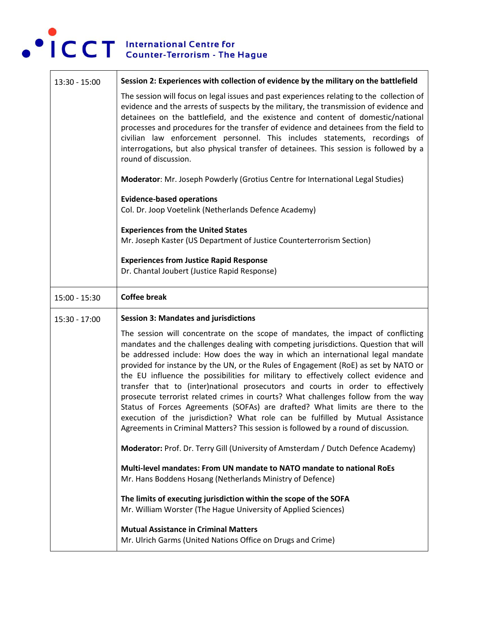

| $13:30 - 15:00$ | Session 2: Experiences with collection of evidence by the military on the battlefield                                                                                                                                                                                                                                                                                                                                                                                                                                                                                                                                                                                                                                                                                                                                                                                     |
|-----------------|---------------------------------------------------------------------------------------------------------------------------------------------------------------------------------------------------------------------------------------------------------------------------------------------------------------------------------------------------------------------------------------------------------------------------------------------------------------------------------------------------------------------------------------------------------------------------------------------------------------------------------------------------------------------------------------------------------------------------------------------------------------------------------------------------------------------------------------------------------------------------|
|                 | The session will focus on legal issues and past experiences relating to the collection of<br>evidence and the arrests of suspects by the military, the transmission of evidence and<br>detainees on the battlefield, and the existence and content of domestic/national<br>processes and procedures for the transfer of evidence and detainees from the field to<br>civilian law enforcement personnel. This includes statements, recordings of<br>interrogations, but also physical transfer of detainees. This session is followed by a<br>round of discussion.                                                                                                                                                                                                                                                                                                         |
|                 | Moderator: Mr. Joseph Powderly (Grotius Centre for International Legal Studies)                                                                                                                                                                                                                                                                                                                                                                                                                                                                                                                                                                                                                                                                                                                                                                                           |
|                 | <b>Evidence-based operations</b><br>Col. Dr. Joop Voetelink (Netherlands Defence Academy)                                                                                                                                                                                                                                                                                                                                                                                                                                                                                                                                                                                                                                                                                                                                                                                 |
|                 | <b>Experiences from the United States</b><br>Mr. Joseph Kaster (US Department of Justice Counterterrorism Section)                                                                                                                                                                                                                                                                                                                                                                                                                                                                                                                                                                                                                                                                                                                                                        |
|                 | <b>Experiences from Justice Rapid Response</b><br>Dr. Chantal Joubert (Justice Rapid Response)                                                                                                                                                                                                                                                                                                                                                                                                                                                                                                                                                                                                                                                                                                                                                                            |
| 15:00 - 15:30   | <b>Coffee break</b>                                                                                                                                                                                                                                                                                                                                                                                                                                                                                                                                                                                                                                                                                                                                                                                                                                                       |
|                 |                                                                                                                                                                                                                                                                                                                                                                                                                                                                                                                                                                                                                                                                                                                                                                                                                                                                           |
| $15:30 - 17:00$ | <b>Session 3: Mandates and jurisdictions</b>                                                                                                                                                                                                                                                                                                                                                                                                                                                                                                                                                                                                                                                                                                                                                                                                                              |
|                 | The session will concentrate on the scope of mandates, the impact of conflicting<br>mandates and the challenges dealing with competing jurisdictions. Question that will<br>be addressed include: How does the way in which an international legal mandate<br>provided for instance by the UN, or the Rules of Engagement (RoE) as set by NATO or<br>the EU influence the possibilities for military to effectively collect evidence and<br>transfer that to (inter)national prosecutors and courts in order to effectively<br>prosecute terrorist related crimes in courts? What challenges follow from the way<br>Status of Forces Agreements (SOFAs) are drafted? What limits are there to the<br>execution of the jurisdiction? What role can be fulfilled by Mutual Assistance<br>Agreements in Criminal Matters? This session is followed by a round of discussion. |
|                 | Moderator: Prof. Dr. Terry Gill (University of Amsterdam / Dutch Defence Academy)                                                                                                                                                                                                                                                                                                                                                                                                                                                                                                                                                                                                                                                                                                                                                                                         |
|                 | Multi-level mandates: From UN mandate to NATO mandate to national RoEs<br>Mr. Hans Boddens Hosang (Netherlands Ministry of Defence)                                                                                                                                                                                                                                                                                                                                                                                                                                                                                                                                                                                                                                                                                                                                       |
|                 | The limits of executing jurisdiction within the scope of the SOFA<br>Mr. William Worster (The Hague University of Applied Sciences)                                                                                                                                                                                                                                                                                                                                                                                                                                                                                                                                                                                                                                                                                                                                       |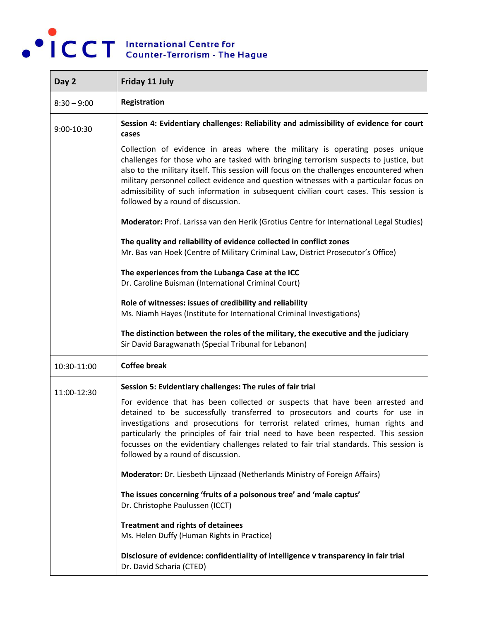

| Day 2         | Friday 11 July                                                                                                                                                                                                                                                                                                                                                                                                                                                                          |
|---------------|-----------------------------------------------------------------------------------------------------------------------------------------------------------------------------------------------------------------------------------------------------------------------------------------------------------------------------------------------------------------------------------------------------------------------------------------------------------------------------------------|
| $8:30 - 9:00$ | Registration                                                                                                                                                                                                                                                                                                                                                                                                                                                                            |
| 9:00-10:30    | Session 4: Evidentiary challenges: Reliability and admissibility of evidence for court<br>cases                                                                                                                                                                                                                                                                                                                                                                                         |
|               | Collection of evidence in areas where the military is operating poses unique<br>challenges for those who are tasked with bringing terrorism suspects to justice, but<br>also to the military itself. This session will focus on the challenges encountered when<br>military personnel collect evidence and question witnesses with a particular focus on<br>admissibility of such information in subsequent civilian court cases. This session is<br>followed by a round of discussion. |
|               | Moderator: Prof. Larissa van den Herik (Grotius Centre for International Legal Studies)                                                                                                                                                                                                                                                                                                                                                                                                 |
|               | The quality and reliability of evidence collected in conflict zones<br>Mr. Bas van Hoek (Centre of Military Criminal Law, District Prosecutor's Office)                                                                                                                                                                                                                                                                                                                                 |
|               | The experiences from the Lubanga Case at the ICC<br>Dr. Caroline Buisman (International Criminal Court)                                                                                                                                                                                                                                                                                                                                                                                 |
|               | Role of witnesses: issues of credibility and reliability<br>Ms. Niamh Hayes (Institute for International Criminal Investigations)                                                                                                                                                                                                                                                                                                                                                       |
|               | The distinction between the roles of the military, the executive and the judiciary<br>Sir David Baragwanath (Special Tribunal for Lebanon)                                                                                                                                                                                                                                                                                                                                              |
| 10:30-11:00   | <b>Coffee break</b>                                                                                                                                                                                                                                                                                                                                                                                                                                                                     |
| 11:00-12:30   | Session 5: Evidentiary challenges: The rules of fair trial                                                                                                                                                                                                                                                                                                                                                                                                                              |
|               | For evidence that has been collected or suspects that have been arrested and<br>detained to be successfully transferred to prosecutors and courts for use in<br>investigations and prosecutions for terrorist related crimes, human rights and<br>particularly the principles of fair trial need to have been respected. This session<br>focusses on the evidentiary challenges related to fair trial standards. This session is<br>followed by a round of discussion.                  |
|               | Moderator: Dr. Liesbeth Lijnzaad (Netherlands Ministry of Foreign Affairs)                                                                                                                                                                                                                                                                                                                                                                                                              |
|               | The issues concerning 'fruits of a poisonous tree' and 'male captus'<br>Dr. Christophe Paulussen (ICCT)                                                                                                                                                                                                                                                                                                                                                                                 |
|               | <b>Treatment and rights of detainees</b><br>Ms. Helen Duffy (Human Rights in Practice)                                                                                                                                                                                                                                                                                                                                                                                                  |
|               | Disclosure of evidence: confidentiality of intelligence v transparency in fair trial<br>Dr. David Scharia (CTED)                                                                                                                                                                                                                                                                                                                                                                        |